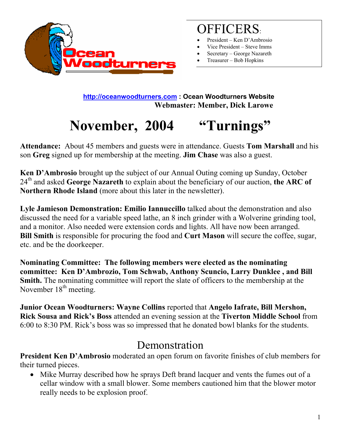

## OFFICERS:

- President Ken D'Ambrosio
- Vice President Steve Imms
- Secretary George Nazareth
- Treasurer Bob Hopkins

 **[http://oceanwoodturners.com](http://oceanwoodturners.com/) : Ocean Woodturners Website Webmaster: Member, Dick Larowe** 

# **November, 2004 "Turnings"**

**Attendance:** About 45 members and guests were in attendance. Guests **Tom Marshall** and his son **Greg** signed up for membership at the meeting. **Jim Chase** was also a guest.

**Ken D'Ambrosio** brought up the subject of our Annual Outing coming up Sunday, October 24th and asked **George Nazareth** to explain about the beneficiary of our auction, **the ARC of Northern Rhode Island** (more about this later in the newsletter).

**Lyle Jamieson Demonstration: Emilio Iannuccillo** talked about the demonstration and also discussed the need for a variable speed lathe, an 8 inch grinder with a Wolverine grinding tool, and a monitor. Also needed were extension cords and lights. All have now been arranged. **Bill Smith** is responsible for procuring the food and **Curt Mason** will secure the coffee, sugar, etc. and be the doorkeeper.

**Nominating Committee: The following members were elected as the nominating committee: Ken D'Ambrozio, Tom Schwab, Anthony Scuncio, Larry Dunklee , and Bill Smith.** The nominating committee will report the slate of officers to the membership at the November  $18<sup>th</sup>$  meeting.

**Junior Ocean Woodturners: Wayne Collins** reported that **Angelo Iafrate, Bill Mershon, Rick Sousa and Rick's Boss** attended an evening session at the **Tiverton Middle School** from 6:00 to 8:30 PM. Rick's boss was so impressed that he donated bowl blanks for the students.

### Demonstration

**President Ken D'Ambrosio** moderated an open forum on favorite finishes of club members for their turned pieces.

• Mike Murray described how he sprays Deft brand lacquer and vents the fumes out of a cellar window with a small blower. Some members cautioned him that the blower motor really needs to be explosion proof.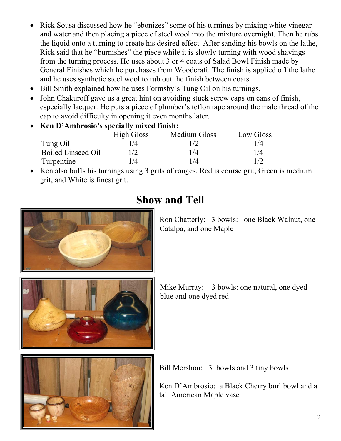- Rick Sousa discussed how he "ebonizes" some of his turnings by mixing white vinegar and water and then placing a piece of steel wool into the mixture overnight. Then he rubs the liquid onto a turning to create his desired effect. After sanding his bowls on the lathe, Rick said that he "burnishes" the piece while it is slowly turning with wood shavings from the turning process. He uses about 3 or 4 coats of Salad Bowl Finish made by General Finishes which he purchases from Woodcraft. The finish is applied off the lathe and he uses synthetic steel wool to rub out the finish between coats.
- Bill Smith explained how he uses Formsby's Tung Oil on his turnings.
- John Chakuroff gave us a great hint on avoiding stuck screw caps on cans of finish, especially lacquer. He puts a piece of plumber's teflon tape around the male thread of the cap to avoid difficulty in opening it even months later.
- **Ken D'Ambrosio's specially mixed finish:**

|                           | <b>High Gloss</b> | Medium Gloss | Low Gloss |
|---------------------------|-------------------|--------------|-----------|
| Tung Oil                  | 1/4               | 1/2          | 1/4       |
| <b>Boiled Linseed Oil</b> | 1/2               | 1/4          | 1/4       |
| Turpentine                | /4                | 1/4          | 1/2       |

• Ken also buffs his turnings using 3 grits of rouges. Red is course grit, Green is medium grit, and White is finest grit.



### **Show and Tell**

Ron Chatterly: 3 bowls: one Black Walnut, one Catalpa, and one Maple





Bill Mershon: 3 bowls and 3 tiny bowls

Ken D'Ambrosio: a Black Cherry burl bowl and a tall American Maple vase